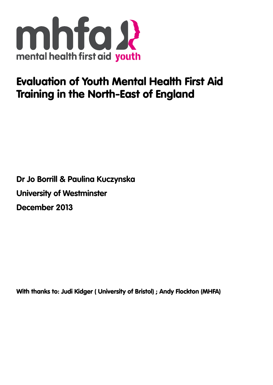

# Evaluation of Youth Mental Health First Aid Training in the North-East of England

**Dr Jo Borrill & Paulina Kuczynska University of Westminster December 2013**

With thanks to: Judi Kidger ( University of Bristol) ; Andy Flockton (MHFA)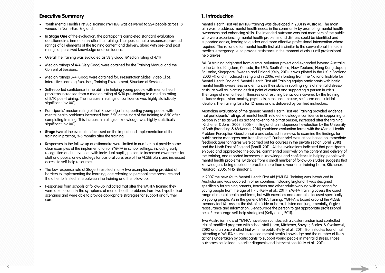## Executive Summary

- Youth Mental Health First Aid Training (YMHFA) was delivered to 224 people across 18 venues in North-East England.
- In **Stage One** of the evaluation, the participants completed standard evaluation questionnaires immediately after the training. The questionnaire responses provided ratings of all elements of the training content and delivery, along with pre- and post ratings of perceived knowledge and confidence.
- • Overall the training was evaluated as Very Good, (Median rating of 4/4)
- • Median ratings of 4/4 (Very Good) were obtained for the Training Manual and the Content of Sessions.
- Median ratings 3/4 (Good) were obtained for: Presentation Slides, Video Clips, Interactive Learning Exercises, Training Environment, Structure of Sessions.
- Self-reported confidence in the ability in helping young people with mental health problems increased from a median rating of 5/10 pre-training to a median rating of 8/10 post-training. The increase in ratings of confidence was highly statistically significant (p<.001).
- Participants' median rating of their knowledge in supporting young people with mental health problems increased from 5/10 at the start of the training to 8/10 after completing training. This increase in ratings of knowledge was highly statistically significant (p<.001).
- **Stage two** of the evaluation focussed on the impact and implementation of the training in practice, 3-6 months after the training
- Responses to the follow-up questionnaire were limited in number, but provide some clear examples of the implementation of YMHFA in school settings, including early recognition and intervention with individual pupils, posters to increased awareness for staff and pupils, anew strategy for pastoral care, use of the ALGEE plan, and increased access to self-help resources.
- The low response rate at Stage 2 resulted in only two examples being provided of barriers to implementing the learning, one referring to personal time pressures and the other to limited time between the training and the follow-up.
- Responses from schools at follow-up indicated that after the YMHFA training they were able to identify the symptoms of mental health problems from two hypothetical scenarios and were able to provide appropriate strategies for support and further care.

## 1. Introduction

Mental Health First Aid (MHFA) training was developed in 2001 in Australia. The main aim was to address mental health needs in the community by promoting mental health awareness and enhancing skills. The intended outcome was that members of the public who were experiencing mental health problems and distress could be identified and supported earlier, leading to quicker and more effective professional intervention where required. The rationale for mental health first aid is similar to the conventional first aid in medical emergency i.e. to provide assistance in the moment of crisis until professional help arrives.

MHFA training originated from a small volunteer project and expanded beyond Australia to the United Kingdom, Canada, the USA, South Africa, New Zealand, Hong Kong, Japan, Sri Lanka, Singapore, Sweden and Finland (Kelly, 2011). It was piloted in the UK in Scotland (2003 -4) and introduced in England in 2006, with funding from the National Institute for Mental Health England. Mental Health First Aid Training equips participants with basic mental health awareness and enhances their skills in spotting signs of mental distress/ crisis, as well as in acting as first point of contact and supporting a person in crisis. The range of mental health illnesses and resulting behaviours covered by the training includes: depression, anxiety, psychosis, substance misuse, self harm and suicidal ideation. The training lasts for 12 hours and is delivered by certified instructors.

Australian evaluations of the generic Mental Health First Aid Training provided evidence that participants' ratings of mental health related knowledge, confidence in supporting a person in crisis as well as actions taken to help that person, increased after the training (Kitchener & Jorm, 2008, 2006 ) . In England, an independent evaluation by the University of Bath (Brandling & McKenna, 2010) combined evaluation forms with the Mental Health Problem Perception Questionnaire and selected interviews to examine the findings for public sector managers and front-line staff. Further brief evaluations based on immediate feedback questionnaires were carried out for courses in the private sector (Borrill,2010) and the North East of England (Borrill, 2011). All the evaluations indicated that participants enjoyed and appreciated the course, commented positively on the content and delivery of the training, and reported increases in knowledge and confidence in helping people with mental health problems. Evidence from a small number of follow-up studies suggests that knowledge is being applied to practice more than a year after training (Jorm, Kitchener, Mugford, 2005; NHS Islington ).

In 2007 the new Youth Mental Health First Aid (YMHFA) Training was introduced in Australia and was adopted in other countries including England. It was designed specifically for training parents, teachers and other adults working with or caring for young people from the age of 11-18 (Kelly et al., 2011). YMHFA Training covers the usual range of mental health problems, but with exercises and examples focused specifically on young people. As in the generic MHFA training, YMHFA is based around the ALGEE memory tool (A- Assess the risk of suicide or harm, L-listen non judgementally, G-give reassurance and information, E-encourage the person to get appropriate professional help, E-encourage self-help strategies) (Kelly et al., 2011).

Two Australian trials of YMHFA have been conducted: a cluster randomised controlled trial of modified program with school staff (Jorm, Kitchener, Sawyer, Scales, & Cvetkovski, 2010) and an uncontrolled trial with the public (Kelly et al., 2011). Both studies found that attending a YMHFA course increased mental health knowledge and the number of likely actions undertaken by participants to support young people in mental distress. Those outcomes could lead to earlier diagnosis and interventions (Kelly et al., 2011).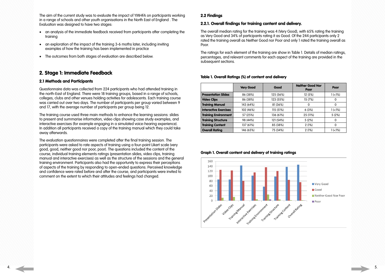The aim of the current study was to evaluate the impact of YMHFA on participants working in a range of schools and other youth organisations in the North East of England . The Evaluation was designed to have two stages:

- an analysis of the immediate feedback received from participants after completing the training
- an exploration of the impact of the training 3-6 moths later, including inviting examples of how the training has been implemented in practice
- The outcomes from both stages of evaluation are described below.

## 2. Stage 1: Immediate Feedback

### 2.1 Methods and Participants

Questionnaire data was collected from 224 participants who had attended training in the north-East of England. There were 18 training groups, based in a range of schools, colleges, clubs and other venues holding activities for adolescents. Each training course was carried out over two days. The number of participants per group varied between 9 and 17, with the average number of participants per group being 12.

The training course used three main methods to enhance the learning sessions: slides to present and summarise information, video clips showing case study examples, and interactive exercises (for example engaging in a simulated voice-hearing experience). In addition all participants received a copy of the training manual which they could take away afterwards.

The evaluation questionnaires were completed after the final training session. The participants were asked to rate aspects of training using a four-point Likert scale (very good, good, neither good nor poor, poor). The questions included the content of the course, individual training elements ratings (presentation slides, video clips, training manual and interactive exercises) as well as the structure of the sessions and the general training environment. Participants also had the opportunity to express their perceptions of aspects of the training by responding to open-ended questions. Perceived knowledge and confidence were rated before and after the course, and participants were invited to comment on the extent to which their attitudes and feelings had changed.

### 2.2 Findings

### 2.2.1. Overall findings for training content and delivery.

The overall median rating for the training was 4 (Very Good), with 65% rating the training as Very Good and 34% of participants rating it as Good. Of the 244 participants only 2 rated the training overall as Neither Good nor Poor and only 1 rated the training overall as Poor.

The ratings for each element of the training are show in Table 1. Details of median ratings, percentages, and relevant comments for each aspect of the training are provided in the subsequent sections.

## Very Good | Good **Presentation Slides** 86 (38%) 125 (56%) **Video Clips**  $| 86 (38\%)$  123 (55%) **Training Manual**  $143 (64%)$  81 (36%) **Interactive Exercises**  $\vert$  102 (46%) 115 (51%)

**Training Environment**  $\vert$  57 (25%)  $\vert$  136 (61%) **Training Structure**   $\left| \right|$  98 (44%)  $\left| \right|$  121 (54%) **Training Content** 137 (61%) 85 (38%) **Overall Rating**  $146 (65%)$  $75 (34%)$ 

### Table 1. Overall Ratings (%) of content and delivery

| <b>Neither Good Nor</b><br>Poor | Poor          |
|---------------------------------|---------------|
| 12 (5%)                         | $1( < 1\%)$   |
| 15 (7%)                         | 0             |
| Ω                               | 0             |
| 6(3%)                           | $1( < 1\%)$   |
| 25 (11%)                        | 5(2%)         |
| 5(2%)                           | 0             |
| 2(1%)                           | 0             |
| 2 (1%)                          | $1$ ( $<$ 1%) |

| Graph 1. Overall content and delivery of training ratings |  |  |  |  |
|-----------------------------------------------------------|--|--|--|--|

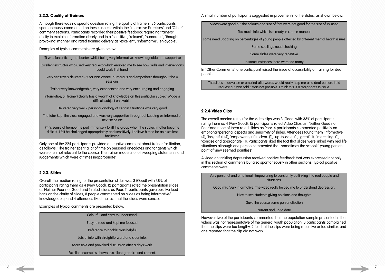### 2.2.2. Quality of Trainers

Although there was no specific question rating the quality of trainers, 36 participants spontaneously commented on these aspects within the 'Interactive Exercises' and 'Other' comment sections. Participants recorded their positive feedback regarding trainers' ability to explain information clearly and in a 'sensitive', 'relaxed', 'humorous', 'thought provoking' manner and rated training delivery as 'excellent', 'informative', 'enjoyable'.

Examples of typical comments are given below:

| (T) was fantastic - great banter, whilst being very informative, knowledgeable and supportive                                                                                                               |
|-------------------------------------------------------------------------------------------------------------------------------------------------------------------------------------------------------------|
| Excellent instructor who used very real exp which enabled me to see how skills and interventions<br>could work first hand                                                                                   |
| Very sensitively delivered - tutor was aware, humorous and empathetic throughout the 4<br>sessions                                                                                                          |
| Trainer very knowledgeable, very experienced and very encouraging and engaging                                                                                                                              |
| Informative; S (trainer) clearly has a wealth of knowledge on this particular subject. Made a<br>difficult subject enjoyable.                                                                               |
| Delivered very well - personal analogy of certain situations was very good                                                                                                                                  |
| The tutor kept the class engaged and was very supportive throughout keeping us informed of<br>next steps etc                                                                                                |
| (T) 's sense of humour helped immensely to lift the group when the subject matter became<br>difficult. I felt he challenged appropriately and sensitively. I believe him to be an excellent<br>facilitator. |

Only one of the 224 participants provided a negative comment about trainer facilitation, as follows: 'The trainer spent a lot of time on personal anecdotes and tangents which were often not relevant to the course. The trainer made a lot of sweeping statements and judgements which were at times inappropriate'

### 2.2.3. Slides

Overall, the median rating for the presentation slides was 3 (Good) with 38% of participants rating them as 4 (Very Good). 12 participants rated the presentation slides as Neither Poor nor Good and 1 rated slides as Poor. 11 participants gave positive feed back on the clarity of slides, 8 people commented on slides as being informative/ knowledgeable, and 4 attendees liked the fact that the slides were concise.

Examples of typical comments are presented below:

| Colourful and easy to understand.                         |
|-----------------------------------------------------------|
| Easy to read and kept me focused                          |
| Reference to booklet was helpful                          |
| Lots of info with straightforward and clear info.         |
| Accessible and provoked discussion after a days work.     |
| Excellent examples shown, excellent graphics and content. |
|                                                           |

A small number of participants suggested improvements to the slides, as shown below:

Slides were good but the colours and size of font were not good for the size of TV used

Too much info which is already in course manual

some need updating on percentages of young people affected by different mental health issues

Some spellings need checking

Some slides were very repetitive

In some instances there were too many

In 'Other Comments' one participant raised the issue of accessibility of training for deaf people:

The slides in advance or emailed afterwards would really help me as a deaf person. I did request but was told it was not possible. I think this is a major access issue.

### 2.2.4 Video Clips

The overall median rating for the video clips was 3 (Good) with 38% of participants rating them as 4 (Very Good). 15 participants rated Video Clips as 'Neither Good nor Poor'and none of them rated slides as Poor. 4 participants commented positively on emotional/personal aspects and sensitivity of slides. Attendees found them 'informative' (4), 'insightful' (4), 'empowering' (1), 'clear' (1), 'up-to-date' (1), 'great' (1), 'interesting' (1), 'concise and appropriate' (1). Participants liked the fact that slides were linked with real life situations although one person commented that 'sometimes the schools' young person point of view seemed pointless'

A video on tackling depression received positive feedback that was expressed not only in this section of comments but also spontaneously in other sections. Typical positive comments were:

Very personal and emotional. Empowering to constantly be linking it to real people and situations.

Good mix. Very informative. The video really helped me to understand depression.

Nice to see students giving opinions and thoughts

Gave the course some personalisation

current and up to date

However two of the participants commented that the population sample presented in the videos was not representative of the general youth population. 3 participants complained that the clips were too lengthy, 2 felt that the clips were being repetitive or too similar, and one reported that the clip did not work.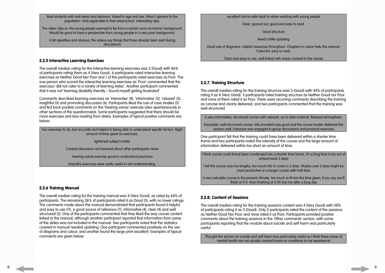Real students with real views and opinions. Varied in age and sex. Wasn't general to the population. Only applicable to that area/school. Interesting clips.

The video clips re: the young people seemed to be from a certain socio-economic background. Would be good to have a perspective from young people in a very poor background.

A bit repetitive and obvious, the videos say things that have already been said during discussions

### 2.2.5 Interactive Learning Exercises

The overall median rating for the interactive learning exercises was 3 (Good) with 46% of participants rating them as 4 (Very Good). 6 participants rated interactive learning exercises as Neither Good Nor Poor and 1 of the participants rated exercises as Poor. The one person who scored the interactive learning exercises as 'Poor' commented that the exercises 'did not cater to a variety of learning styles'. Another participant commented that it was not 'learning disability friendly – found myself getting frustrated'.

Comments described learning exercises as 'interactive' (8), 'informative' (2), 'relaxed' (3), insightful (3) and promoting discussion (6). Participants liked the use of case studies (2) and fed back positive comments on the 'hearing voices' exercise (also spontaneously in other sections of the questionnaire). Some participants suggested that there should be more exercises and less reading from slides. Examples of typical positive comments are below:

Fun exercises to do, but accurate and helpful in being able to understand specific factors. Right amount of time spent on exercises.

lightened subject matter

Created discussion and learned about other participants views

Hearing voices exercise good to understand psychosis

Empathy exercises were really useful to aid understanding.

### 2.2.6 Training Manual

 $\vert$  I think course could (have) been condensed into a shorter time frame, it's a lona time to be out of school/work 2 days

The overall median rating for the training manual was 4 (Very Good), as rated by 64% of participants. The remaining 36% of participants rated it as Good (3), with no lower ratings. The comments made about the manual demonstrated that participants found it helpful and easy to use (11), a good source of reference (7), informative (4), clear (4) and well structured (2). One of the participants commented that they liked the way course content linked to the manual, although another participant reported that information from some of the slides was not included in the manual. Two participants noted that the statistics covered in manual needed updating. One participant commented positively on the use of diagrams and colour, and another found the large print excellent. Examples of typical comments are given below:

excellent tool to refer back to when working with young people

Clear, spaced out, good and easy to read.

Good structure

Need a little updating

Good use of diagrams. Helpful resources throughout. Chapters in colour help the manual. Colourful, easy to read.

Clear and easy to use, well linked with areas covered in the course

### 2.2.7. Training Structure

The overall median rating for the training structure was 3 (Good) with 44% of participants rating it as 4 (Very Good). 5 participants rated training structure as Neither Good nor Poor and none of them rated it as Poor. There were recurring comments describing the training as concise and clearly delivered, and two participants commented that the training was well-structured:

A very informative, structured course with relevant, up to date material. Relaxed atmosphere.

Enjoyable, well structured course. Info provided was good and the course leader delivered the session well. Everyone was engaged in group discussions and practical exercises

One participant felt that the training could have been delivered within a shorter time frame and two participants noted the intensity of the course and the large amount of information delivered within too short an amount of time:

I felt the course was too lengthy, too much info to cover in 2 days. Maybe over 3 days might be more productive or a longer course with half days

A very valuable course in the present climate, too much to fit into the time given, if you say you'll finish at 4:3- then finishing at 5:05 lost me after a long day

### 2.2.8. Content of Sessions

The overall median rating for the training sessions content was 4 (Very Good) with 38% of participants rating it as 3 (Good). Only 2 participants rated the content of the sessions as Neither Good Nor Poor and none rated it as Poor. Participants provided positive comments about the training sessions in the 'Other comments' section, with some participants reporting that the module about suicide and self-harm was particularly useful:

Thought the section on suicide and self harm was particularly useful as I think these areas of mental health are not usually covered (more on conditions in my experience)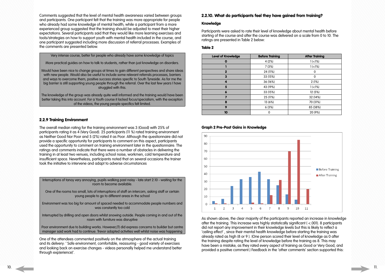Comments suggested that the level of mental health awareness varied between groups and participants. One participant felt that the training was more appropriate for people who already had some knowledge of mental health, while a participant from a more experienced group suggested that the training should be adjusted to meet their higher expectations. Several participants said that they would like more learning exercises and tools/strategies on how to support youth with mental health included in the course, and one participant suggested including more discussion of referral processes. Examples of the comments are presented below.

Very intense course, better for people who already have some knowledge of topics

More practical guides on how to talk to students, rather than just knowledge on disorders.

Would have been nice to change groups at times to gain different perspectives and share ideas with new people. Would also be useful to include some relevant referrals processes, barriers and ways to overcome them, positive success stories specific to South Tyneside. As for me the big barrier is still supporting young people through the referral. Over the last few years I have struggled with this.

The knowledge of the group was already quite well informed and the training would have been better taking this into account. For a Youth course it lacked focus/specialism, with the exception of the videos, the young people specifics felt limited.

### 2.2.9 Training Environment

The overall median rating for the training environment was 3 (Good) with 25% of participants rating it as 4 (Very Good). 25 participants (11 %) rated training environment as Neither Good Nor Poor and 5 (2%) rated it as Poor. Although the questionnaire did not provide a specific opportunity for participants to comment on this aspect, participants used the opportunity to comment on training environment later in the questionnaire. The ratings and comments indicate that there were a number of obstacles in delivering the training in at least two venues, including school noise, workmen, cold temperature and insufficient space. Nevertheless, participants noted that on several occasions the trainer took the initiative to intervene and adapt to adverse circumstances

| Interruptions of tanoy very annoying, pupils walking past noisy - late start 2:10 - waiting for the<br>room to become available.                                                                |
|-------------------------------------------------------------------------------------------------------------------------------------------------------------------------------------------------|
| One of the rooms too small, lots of interruptions of staff on intercom, asking staff or certain<br>young people to go to different areas in the school                                          |
| Environment was too big for amount of spaced needed to accommodate people numbers and<br>was constantly too cold                                                                                |
| Interrupted by drilling and open doors whilst snowing outside. People coming in and out of the<br>room with furniture was disruptive                                                            |
| Poor environment due to building works. However, (T) did express concerns to builder but centre<br>manager said work had to continue. Trevor adapted activities well whilst noise was happening |

One of the attendees commented positively on the atmosphere of the actual training and its delivery: ' Safe environment, comfortable, reassuring - good variety of exercises and looking back on exercise changes - videos personally helped me understand better through exp(erience)'.

### 2.2.10. What do participants feel they have gained from training?

### Knowledge

Participants were asked to rate their level of knowledge about mental health before starting of the course and after the course was delivered on a scale from 0 to 10. The ratings are presented in Table 2 below:

### Table 2

| <b>Level of Knowledge</b> | <b>Before Training</b> | <b>After Training</b> |
|---------------------------|------------------------|-----------------------|
| 0                         | 4(2%)                  | $1$ ( $<$ 1%)         |
|                           | 7(3%)                  | $1$ ( $<$ $1%$ )      |
| $\mathbf{2}$              | 24 (11%)               | 0                     |
| 3                         | 33 (15%)               | 0                     |
| 4                         | 36 (16%)               | 2(1%)                 |
| 5                         | 43 (19%)               | $1$ ( $<$ $1%$ )      |
| 6                         | 33 (15%)               | 12 (5%)               |
| 7                         | 25 (11%)               | 32 (14%)              |
| 8                         | 13 (6%)                | 70 (31%)              |
| 9                         | 6(3%)                  | 85 (38%)              |
| 10                        | $\Omega$               | 20 (9%)               |

### Graph 2 Pre-Post Gains in Knowledge



As shown above, the clear majority of the participants reported an increase in knowledge after the training. This increase was highly statistically significant ( <.001). 8 participants did not report any improvement in their knowledge levels but this is likely to reflect a 'ceiling effect' , since their mental health knowledge before starting the training was already rated as high (8 or 9 ). (One person scored their level of knowledge as 0 after the training despite rating the level of knowledge before the training as 8. This may have been a mistake, as they rated every aspect of training as Good or Very Good, and provided a positive comment.) Feedback in the 'other comments' section supported this: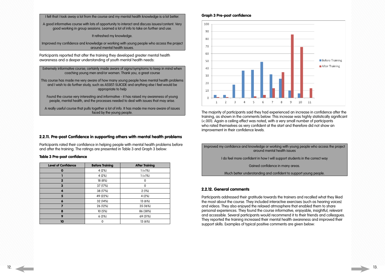I felt that I took away a lot from the course and my mental health knowledge is a lot better.

A good informative course with lots of opportunity to interact and discuss issues/content. Very good working in group sessions. Learned a lot of info to take on further and use.

It refreshed my knowledge.

Improved my confidence and knowledge or working with young people who access the project around mental health issues.

Participants reported that after the training they developed greater mental health awareness and a deeper understanding of youth mental health needs:

Extremely informative course; certainly made aware of signs/symptoms to keep in mind when coaching young men and/or women. Thank you, a great course

This course has made me very aware of how many young people have mental health problems and I wish to do further study, such as ASSIST-SUICIDE and anything else I feel would be appropriate to help

Found the course very interesting and informative - it has raised my awareness of young people, mental health, and the processes needed to deal with issues that may arise.

A really useful course that pulls together a lot of info. It has made me more aware of issues faced by the young people.

### 2.2.11. Pre-post Confidence in supporting others with mental health problems

Participants rated their confidence in helping people with mental health problems before and after the training. The ratings are presented in Table 3 and Graph 3 below:

### Table 3 Pre-post confidence

| <b>Level of Confidence</b> | <b>Before Training</b> | <b>After Training</b> |
|----------------------------|------------------------|-----------------------|
| O                          | 4 (2%)                 | $1$ ( $<$ $1%$ )      |
|                            | 4 (2%)                 | $1$ ( $<$ $1%$ )      |
| $\mathbf 2$                | 18 (8%)                | 0                     |
| 3                          | 37 (17%)               | 0                     |
| 4                          | 38 (17%)               | 2(1%)                 |
| 5                          | 49 (22%)               | 4 (2%)                |
| 6                          | 32 (14%)               | 13 (6%)               |
|                            | 26 (12%)               | 35 (16%)              |
| 8                          | 10(5%)                 | 86 (38%)              |
| 9                          | 6(3%)                  | 69 (31%)              |
| 10                         | 0                      | 13 (6%)               |

### Graph 3 Pre-post confidence



The majority of participants said they had experienced an increase in confidence after the training, as shown in the comments below. This increase was highly statistically significant (<.001). Again a ceiling effect was noted, with a very small number of participants who rated themselves as very confident at the start and therefore did not show an improvement in their confidence levels.

Improved my confidence and knowledge or working with young people who access the project around mental health issues I do feel more confident in how I will support students in the correct way Gained confidence in many areas. Much better understanding and confident to support young people.

### 2.2.12. General comments

Participants addressed their gratitude towards the trainers and recalled what they liked the most about the course. They included interactive exercises (such as hearing voices) and videos. They also enjoyed the relaxed atmosphere that enabled them to share personal experiences. They found the course informative, enjoyable, insightful, relevant and accessible. Several participants would recommend it to their friends and colleagues. They reported the training increased their mental health awareness and improved their support skills. Examples of typical positive comments are given below: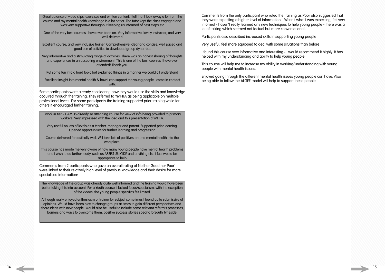Great balance of video clips, exercises and written content. I felt that I took away a lot from the course and my mental health knowledge is a lot better. The tutor kept the class engaged and was very supportive throughout keeping us informed of next steps etc

One of the very best courses I have ever been on. Very informative, lovely instructor, and very well delivered

Excellent course, and very inclusive trainer. Comprehensive, clear and concise, well paced and good use of activities to developed group dynamics

Very informative and a stimulating range of activities. There was an honest sharing of thoughts and experiences in an accepting environment. This is one of the best courses I have ever attended! Thank you.

Put some fun into a hard topic but explained things in a manner we could all understand

Excellent insight into mental health & how I can support the young people I come in contact with.

Some participants were already considering how they would use the skills and knowledge acquired through the training. They referred to YMHFA as being applicable on multiple professional levels. For some participants the training supported prior training while for others it encouraged further training.

I work in tier 2 CAMHS already so attending course for view of info being provided to primary workers. Very impressed with the idea and this presentation of MHFA.

Very useful on lots of levels as a teacher, manager and parent. Supported prior learning. Opened opportunities for further learning and progression

Course delivered fantastically well. Will take lots of positives around mental health into the workplace.

This course has made me very aware of how many young people have mental health problems and I wish to do further study, such as ASSIST-SUICIDE and anything else I feel would be appropriate to help

Comments from 2 participants who gave an overall rating of Neither Good nor Poor' were linked to their relatively high level of previous knowledge and their desire for more specialised information:

The knowledge of the group was already quite well informed and the training would have been better taking this into account. For a Youth course it lacked focus/specialism, with the exception of the videos, the young people specifics felt limited.

Although really enjoyed enthusiasm of trainer for subject sometimes I found quite submissive of opinions. Would have been nice to change groups at times to gain different perspectives and share ideas with new people. Would also be useful to include some relevant referrals processes, barriers and ways to overcome them, positive success stories specific to South Tyneside.

Comments from the only participant who rated the training as Poor also suggested that they were expecting a higher level of information: ' Wasn't what I was expecting, felt very informal - haven't really learned any new techniques to help young people - there was a lot of talking which seemed not factual but more conversational'.

Participants also described increased skills in supporting young people

Very useful, feel more equipped to deal with some situations than before

I found this course very informative and interesting - I would recommend it highly. It has helped with my understanding and ability to help young people.

This course will help me to increase my ability in working/understanding with young people with mental health issues.

Enjoyed going through the different mental health issues young people can have. Also being able to follow the ALGEE model will help to support these people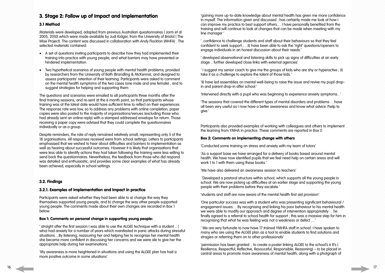## 3. Stage 2: Follow up of Impact and Implementation

### 3.1 Method

Materials were developed, adapted from previous Australian questionnaires ( Jorm et al 2005, 2010) which were made available by Judi Kidger, from the University of Bristol ( The Wise Project). The content was discussed in collaboration with Andy Flockton (MHFA) . The selected materials contained:

- A set of questions inviting participants to describe how they had implemented their training into practice with young people, and what barriers may have prevented or hindered implementation.
- Two hypothetical scenarios of young people with mental health problems, provided by researchers from the University of Bath (Brandling & McKenna), and designed to assess participants' retention of their learning. Participants were asked to comment on the mental health symptoms of the two cases (one male and one female) , and to suggest strategies for helping and supporting them

The questions and scenarios were emailed to all participants three months after the final training sessions, and re-sent at the 6 month point, so that participants whose training was at the latest date would have sufficient time to reflect on their experiences. The response rate was low, so to address any problems with online completion, paper copies were also posted to the majority of organisations/venues (excluding those who had already sent an online reply) with a stamped addressed envelope for return. Those receiving a paper copy were advised that they could complete the questionnaires individually or as a group.

Despite reminders, the rate of reply remained relatively small, representing only 5 of the 18 organisations. All responses received were from school settings. Letters to participants emphasised that we wished to hear about difficulties and barriers to implementation as well as hearing about successful outcomes. However it is likely that organisations that were less able to identify actions they had taken following the training were less willing to send back the questionnaires. Nevertheless, the feedback from those who did respond was detailed and enthusiastic, and provides some clear examples of what has already been achieved, especially in school settings.

### 3.2. Findings

### 3.2.1. Examples of Implementation and Impact in practice

Participants were asked whether they had been able to a) change the way they themselves supported young people, and b) change the way other people supported young people. The comments made about their own changes are recorded in Box 1 below.

### Box 1: Comments on personal change in supporting young people:

' straight after the first session I was able to use the ALGEE technique with a student .. ( who) had anxiety for a number of years which manifested in panic attacks during stressful situations. ..By listening, reassuring her and helping her to recognise her mental health she became more confident in discussing her concerns and we were ale to give her the appropriate help during her examinations.'

'My awareness is more heightened in situations and using the ALGEE plan has had a more positive outcome in some situations'

'gaining more up-to-date knowledge about mental health has given me more confidence in myself. The information given and discussed ..has certainly made me look at how I can improve my practice to best support others… I have personally benefited from the training and will continue to look at changes that can be made when meeting with my line manager '

'..confidence to challenge students and staff about their behaviours so that they feel confident to seek support ; .. (I) have been able to ask the 'right' questions/openers to engage individuals in an honest discussion about their needs.'

' developed observational and listening skills to pick up signs of difficulties at an early stage .. further developed close links with external agencies'

' I suggest my senior coach to give me the groups of kids who are shy or hyperactive ; (I) take it as a challenge to explore the talent of those kids.'

'(I) have led assemblies on mental well-being to raise the issue and revive my pupil dropin and parent drop-in after school.'

'Intervened directly with a pupil who was beginning to experience anxiety symptoms.. '

'The sessions that covered the different types of mental disorders and problems …have all been very useful as I now have a better awareness and know what advice /help to give.'

Participants also provided examples of working with colleagues and others to implement the learning from YMHA in practice. These comments are reported in Box 2:

### Box 2: Comments on implementing change with others

'Conducted some training on stress and anxiety with my team of tutors'

'As a support base we have arranged for a delivery of books based around mental health. We have now identified pupils that we feel need help on certain areas and will work 1 to 1 with them using these books.'

'We have also delivered an awareness session to teachers'

 'Developed a pastoral structure within school, which supports all the young people in school. We are now picking up difficulties at an earlier stage and supporting the young people with their problems before they escalate.'

'students and staff are now aware of the mental health first aid provision'

'One particular success was with a student who was presenting significant behavioural / engagement issues… By recognising and linking his poor behaviour to his mental health we were able to modify our approach and degree of intervention appropriately… he finally agreed to a referral to school health for support ; this was a massive step for him in recognising that what he was feeling was not a weakness or defect …'

' We are very fortunate to now have 17 trained YMHFA staff in school. I have spoken to many who are using the ALGEE plan as a tool to enable students to find solutions and stragies or referring them on to other professionals'

'permission has been granted .. to create a poster linking ALGEE to the school's 6 R's ( Resilience, Respectful, Reflective, Resouceful, Responsible, Reasoning) – to be placed in central areas to promote mare awareness of mental health, along with a photgraph of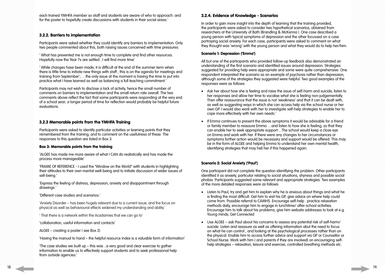each trained YMHFA member so staff and students are aware of who to approach. and for the poster to hopefully create discussions with students in their social areas.'

### 3.2.2. Barriers to implementation

Participants were asked whether they could identify any barriers to implementation. Only two people commented about this, both raising issues concerned with time pressures:

' What has prevented me is not enough time to complete and find other resources. Hopefully now the Year 7s are settled ..I will find more time'

' While changes have been made, it is difficult at the end of the summer term when there is little time to initiate new things with staff ; this is on the agenda for meetings and training from September'; …the only issue at the moment is having the time to put into practice what I have learned as well as balancing a full teaching commitment.'

Participants may not wish to disclose a lack of activity, hence the small number of comments on barriers to implementation and the small return rate overall. The two comments above reflect the fact that some participants were responding at the very end of a school year; a longer period of time for reflection would probably be helpful future evaluations.

### 3.2.3 Memorable points from the YMHFA Training

Participants were asked to identify particular activities or learning points that they remembered from the training, and to comment on the usefulness of these. The responses to this question are listed in Box 3:

### Box 3: Memorable points from the training

'ALGEE has made me more aware of what I CAN do realistically and has made the process more manageable'

'FRAME OF REFERENCE - I used the "Window on the World" with students in highlighting their attitudes to their own mental well-being and to initiate discussion of wider issues of sell-being.'

'Express the feeling of distress, depression, anxiety and disappointment through drawings.'

'Different case studies and scenarios.'

'Anxiety Disorder – has been hugely relevant due to a current issue, and the focus on physical as well as behavioural effects widened my understanding and ability.'

' That there is a network within the Acadamies that we can go to'

'collaboration, useful information and contacts'

ALGEE – creating a poster ( see Box 2)

'Having the manual to hand – the helpful resource index is a valuable form of information'

'The case studies we built up – this was ..a very good and clear exercise to gather information to enable us to effectively support students and to seek professional help from outside agencies.'

### 3.2.4. Evidence of Knowledge - Scenarios

In order to gain more insight into the depth of learning that the training provided, the participants were asked to consider two hypothetical scenarios, obtained from researchers at the University of Bath (Brandling & McKenna ). One case described a young person with typical symptoms of depression and the other focussed on a case portraying social anxiety. For each case, participants were asked to comment on what they thought was 'wrong' with the young person and what they would do to help her/him.

- Listen to Paul, try and get him to explain why he is anxious about things and what he is finding the most difficult. Get him to visit his GP, give advice on where help could come from. Possible referral to CAMHS. Encourage self-help : practice relaxation methods daily, encourage him to engage in lunchtime/ after-school activities. Encourage him to talk about his problems, give him website addresses to look at e.g. Young minds; Get Connected
- Use ALGEE ask Paul about his concerns to assess any potential risk of self-harm/ suicide. Listen and reassure as well as offering information abut the need to focus on what he can control , and looking at the psychological processes rather than on the physical. Enable him to access further advice and support via GP or Counsellor or School Nurse. Work with him ( and parents if they are involved) on encouraging selfhelp strategies – relaxation, leisure and exercise, controlled breathing methods etc.

### Scenario 1: Depression ('Emma')

All but one of the participants who provided follow-up feedback also demonstrated an understanding of the first scenario and identified issues around depression. Strategies suggested for providing help were appropriate and some were quite comprehensive. One respondent interpreted the scenario as an example of psychosis rather than depression, although some of the strategies they suggested were helpful. Two good examples of the responses were as follows:

- Ask her about how she is feeling and raise the issue of self-harm and suicide; listen to her responses and allow her time to vocalise what she is feeling non-judgementally. Then offer reassurance that the issue is not 'weakness' and that it can be dealt with, as well as suggesting ways in which she can access help via the school nurse or her own GP. I would also work with her to investigate self-help strategies to enable her to cope more effectively with her own needs.'
- If Emma continues to present the above symptoms it would be advisable for a friend or family member to reassure Emma …and listen to how she is feeling, so that they can enable her to seek appropriate support…The school would keep a close eye on Emma and work with her. If there were any changes to her circumstances or symptoms further action would be necessary and support would be offered. This may be in the form of ALGEE and helping Emma to understand her own mental health, identifying strategies that may hell her if this happened again.

### Scenario 2: Social Anxiety ('Paul')

One participant did not complete the question identifying the problem. Other participants identified it as anxiety, particular relating to social situations, shyness and possible social phobia. Participants suggested some relevant and appropriate strategies. Two examples of the more detailed responses were as follows: